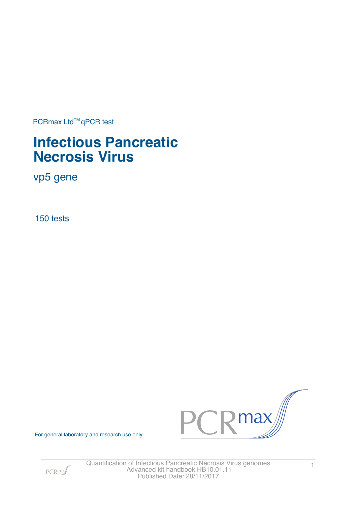PCRmax Ltd™qPCR test

# **Infectious Pancreatic Necrosis Virus**

vp5 gene

150 tests



For general laboratory and research use only

 $PCR<sub>max</sub>$ 

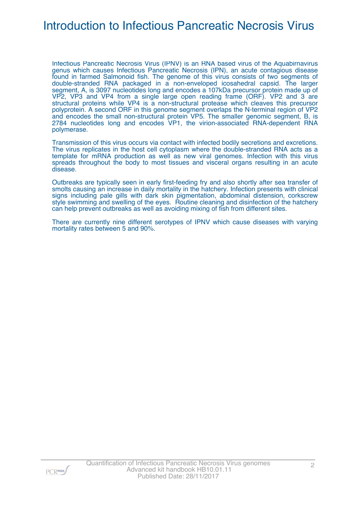## Introduction to Infectious Pancreatic Necrosis Virus

Infectious Pancreatic Necrosis Virus (IPNV) is an RNA based virus of the Aquabirnavirus genus which causes Infectious Pancreatic Necrosis (IPN), an acute contagious disease found in farmed Salmonoid fish. The genome of this virus consists of two segments of double-stranded RNA packaged in a non-enveloped icosahedral capsid. The larger segment, A, is 3097 nucleotides long and encodes a 107kDa precursor protein made up of VP2, VP3 and VP4 from a single large open reading frame (ORF). VP2 and 3 are structural proteins while VP4 is a non-structural protease which cleaves this precursor polyprotein. A second ORF in this genome segment overlaps the N-terminal region of VP2 and encodes the small non-structural protein VP5. The smaller genomic segment, B, is 2784 nucleotides long and encodes VP1, the virion-associated RNA-dependent RNA polymerase.

Transmission of this virus occurs via contact with infected bodily secretions and excretions. The virus replicates in the host cell cytoplasm where the double-stranded RNA acts as a template for mRNA production as well as new viral genomes. Infection with this virus spreads throughout the body to most tissues and visceral organs resulting in an acute disease.

Outbreaks are typically seen in early first-feeding fry and also shortly after sea transfer of smolts causing an increase in daily mortality in the hatchery. Infection presents with clinical signs including pale gills with dark skin pigmentation, abdominal distension, corkscrew style swimming and swelling of the eyes. Routine cleaning and disinfection of the hatchery can help prevent outbreaks as well as avoiding mixing of fish from different sites.

There are currently nine different serotypes of IPNV which cause diseases with varying mortality rates between 5 and 90%.

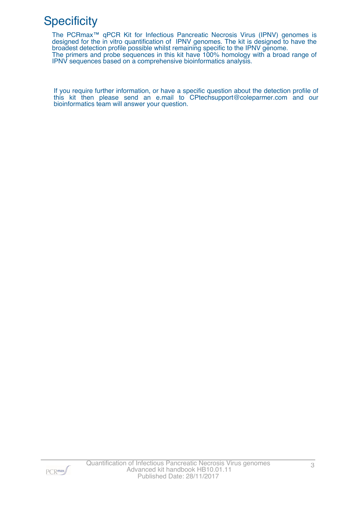# **Specificity**

The PCRmax™ qPCR Kit for Infectious Pancreatic Necrosis Virus (IPNV) genomes is designed for the in vitro quantification of IPNV genomes. The kit is designed to have the broadest detection profile possible whilst remaining specific to the IPNV genome. The primers and probe sequences in this kit have 100% homology with a broad range of IPNV sequences based on a comprehensive bioinformatics analysis.

If you require further information, or have a specific question about the detection profile of this kit then please send an e.mail to CPtechsupport@coleparmer.com and our bioinformatics team will answer your question.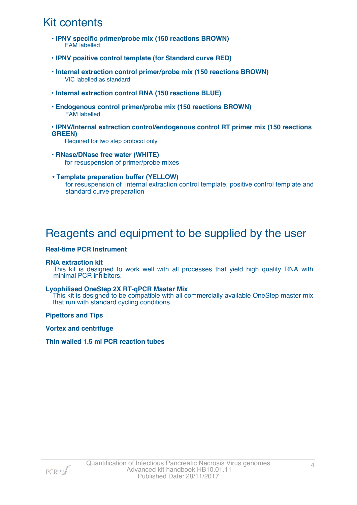# Kit contents

- **IPNV specific primer/probe mix (150 reactions BROWN) FAM** labelled
- **IPNV positive control template (for Standard curve RED)**
- **Internal extraction control primer/probe mix (150 reactions BROWN)** VIC labelled as standard
- **Internal extraction control RNA (150 reactions BLUE)**
- **Endogenous control primer/probe mix (150 reactions BROWN)** FAM labelled
- **IPNV/Internal extraction control/endogenous control RT primer mix (150 reactions GREEN)**

Required for two step protocol only

- **RNase/DNase free water (WHITE)** for resuspension of primer/probe mixes
- **Template preparation buffer (YELLOW)** for resuspension of internal extraction control template, positive control template and standard curve preparation

### Reagents and equipment to be supplied by the user

#### **Real-time PCR Instrument**

#### **RNA extraction kit**

This kit is designed to work well with all processes that yield high quality RNA with minimal PCR inhibitors.

#### **Lyophilised OneStep 2X RT-qPCR Master Mix**

This kit is designed to be compatible with all commercially available OneStep master mix that run with standard cycling conditions.

**Pipettors and Tips**

**Vortex and centrifuge**

**Thin walled 1.5 ml PCR reaction tubes**

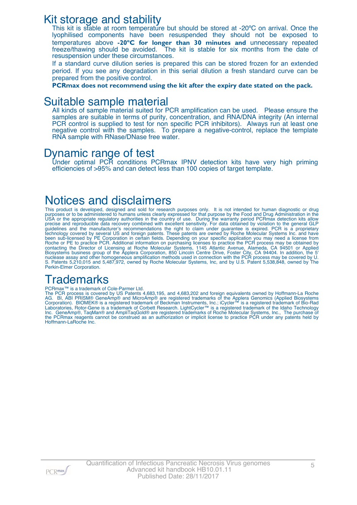### Kit storage and stability

This kit is stable at room temperature but should be stored at -20°C on arrival. Once the lyophilised components have been resuspended they should not be exposed to temperatures above **-20ºC for longer than 30 minutes and** unnecessary repeated freeze/thawing should be avoided. The kit is stable for six months from the date of resuspension under these circumstances.

If a standard curve dilution series is prepared this can be stored frozen for an extended period. If you see any degradation in this serial dilution a fresh standard curve can be prepared from the positive control.

**PCRmax does not recommend using the kit after the expiry date stated on the pack.**

### Suitable sample material

All kinds of sample material suited for PCR amplification can be used. Please ensure the samples are suitable in terms of purity, concentration, and RNA/DNA integrity (An internal PCR control is supplied to test for non specific PCR inhibitors). Always run at least one negative control with the samples. To prepare a negative-control, replace the template RNA sample with RNase/DNase free water.

### Dynamic range of test

Under optimal PCR conditions PCRmax IPNV detection kits have very high priming efficiencies of >95% and can detect less than 100 copies of target template.

## Notices and disclaimers

This product is developed, designed and sold for research purposes only. It is not intended for human diagnostic or drug purposes or to be administered to humans unless clearly expressed for that purpose by the Food and Drug Administration in the USA or the appropriate regulatory authorities in the country of use. During the warranty period PCRmax detection kits allow precise and reproducible data recovery combined with excellent sensitivity. For data obtained by violation to the general GLP guidelines and the manufacturer's recommendations the right to claim under guarantee is expired. PCR is a proprietary technology covered by several US and foreign patents. These patents are owned by Roche Molecular Systems Inc. and have been sub-licensed by PE Corporation in certain fields. Depending on your specific application you may need a license from Roche or PE to practice PCR. Additional information on purchasing licenses to practice the PCR process may be obtained by contacting the Director of Licensing at Roche Molecular Systems, 1145 Atlantic Avenue, Alameda, CA 94501 or Applied Biosystems business group of the Applera Corporation, 850 Lincoln Centre Drive, Foster City, CA 94404. In addition, the 5' nuclease assay and other homogeneous amplification methods used in connection with the PCR process may be covered by U. S. Patents 5,210,015 and 5,487,972, owned by Roche Molecular Systems, Inc, and by U.S. Patent 5,538,848, owned by The Perkin-Elmer Corporation.

# **Trademarks**

#### PCRmax<sup>™</sup> is a trademark of Cole-Parmer Ltd.

The PCR process is covered by US Patents 4,683,195, and 4,683,202 and foreign equivalents owned by Hoffmann-La Roche AG. BI, ABI PRISM® GeneAmp® and MicroAmp® are registered trademarks of the Applera Genomics (Applied Biosystems Corporation). BIOMEK® is a registered trademark of Beckman Instruments, Inc.; iCycler™ is a registered trademark of Bio-Rad Laboratories, Rotor-Gene is a trademark of Corbett Research. LightCycler™ is a registered trademark of the Idaho Technology Inc. GeneAmp®, TaqMan® and AmpliTaqGold® are registered trademarks of Roche Molecular Systems, Inc., The purchase of the PCRmax reagents cannot be construed as an authorization or implicit license to practice PCR under any patents held by Hoffmann-LaRoche Inc.

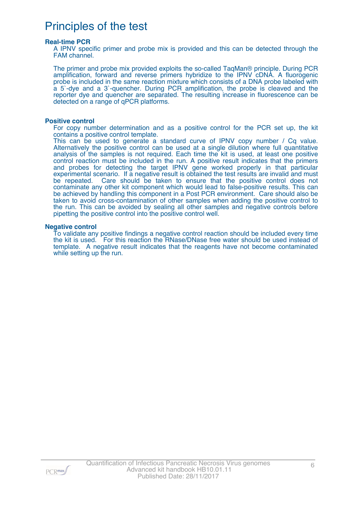## Principles of the test

#### **Real-time PCR**

A IPNV specific primer and probe mix is provided and this can be detected through the FAM channel.

The primer and probe mix provided exploits the so-called TaqMan® principle. During PCR amplification, forward and reverse primers hybridize to the IPNV cDNA. A fluorogenic probe is included in the same reaction mixture which consists of a DNA probe labeled with a 5`-dye and a 3`-quencher. During PCR amplification, the probe is cleaved and the reporter dye and quencher are separated. The resulting increase in fluorescence can be detected on a range of qPCR platforms.

#### **Positive control**

For copy number determination and as a positive control for the PCR set up, the kit contains a positive control template.

This can be used to generate a standard curve of IPNV copy number / Cq value. Alternatively the positive control can be used at a single dilution where full quantitative analysis of the samples is not required. Each time the kit is used, at least one positive control reaction must be included in the run. A positive result indicates that the primers and probes for detecting the target IPNV gene worked properly in that particular experimental scenario. If a negative result is obtained the test results are invalid and must be repeated. Care should be taken to ensure that the positive control does not contaminate any other kit component which would lead to false-positive results. This can be achieved by handling this component in a Post PCR environment. Care should also be taken to avoid cross-contamination of other samples when adding the positive control to the run. This can be avoided by sealing all other samples and negative controls before pipetting the positive control into the positive control well.

#### **Negative control**

To validate any positive findings a negative control reaction should be included every time the kit is used. For this reaction the RNase/DNase free water should be used instead of template. A negative result indicates that the reagents have not become contaminated while setting up the run.

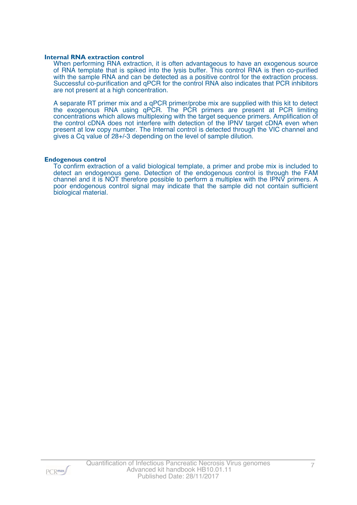#### **Internal RNA extraction control**

When performing RNA extraction, it is often advantageous to have an exogenous source of RNA template that is spiked into the lysis buffer. This control RNA is then co-purified with the sample RNA and can be detected as a positive control for the extraction process. Successful co-purification and qPCR for the control RNA also indicates that PCR inhibitors are not present at a high concentration.

A separate RT primer mix and a qPCR primer/probe mix are supplied with this kit to detect the exogenous RNA using qPCR. The PCR primers are present at PCR limiting concentrations which allows multiplexing with the target sequence primers. Amplification of the control cDNA does not interfere with detection of the IPNV target cDNA even when present at low copy number. The Internal control is detected through the VIC channel and gives a Cq value of 28+/-3 depending on the level of sample dilution.

#### **Endogenous control**

To confirm extraction of a valid biological template, a primer and probe mix is included to detect an endogenous gene. Detection of the endogenous control is through the FAM channel and it is NOT therefore possible to perform a multiplex with the IPNV primers. A poor endogenous control signal may indicate that the sample did not contain sufficient biological material.

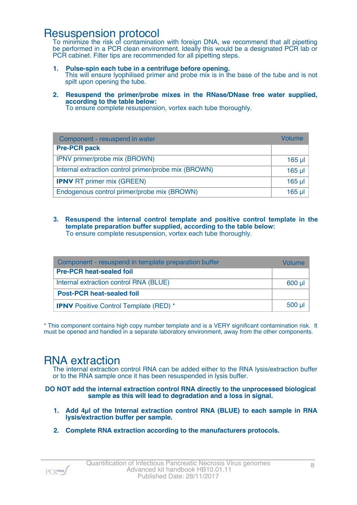### Resuspension protocol

To minimize the risk of contamination with foreign DNA, we recommend that all pipetting be performed in a PCR clean environment. Ideally this would be a designated PCR lab or PCR cabinet. Filter tips are recommended for all pipetting steps.

- **1. Pulse-spin each tube in a centrifuge before opening.** This will ensure lyophilised primer and probe mix is in the base of the tube and is not spilt upon opening the tube.
- **2. Resuspend the primer/probe mixes in the RNase/DNase free water supplied, according to the table below:**

To ensure complete resuspension, vortex each tube thoroughly.

| Component - resuspend in water                       | Volume          |
|------------------------------------------------------|-----------------|
| <b>Pre-PCR pack</b>                                  |                 |
| IPNV primer/probe mix (BROWN)                        | $165$ µ $\vert$ |
| Internal extraction control primer/probe mix (BROWN) | $165$ µl        |
| <b>IPNV RT primer mix (GREEN)</b>                    | $165$ µl        |
| Endogenous control primer/probe mix (BROWN)          | $165$ µl        |

**3. Resuspend the internal control template and positive control template in the template preparation buffer supplied, according to the table below:** To ensure complete resuspension, vortex each tube thoroughly.

| Component - resuspend in template preparation buffer |         |  |
|------------------------------------------------------|---------|--|
| <b>Pre-PCR heat-sealed foil</b>                      |         |  |
| Internal extraction control RNA (BLUE)               | $600$ µ |  |
| <b>Post-PCR heat-sealed foil</b>                     |         |  |
| <b>IPNV</b> Positive Control Template (RED) *        | $500$ µ |  |

\* This component contains high copy number template and is a VERY significant contamination risk. It must be opened and handled in a separate laboratory environment, away from the other components.

### RNA extraction

The internal extraction control RNA can be added either to the RNA lysis/extraction buffer or to the RNA sample once it has been resuspended in lysis buffer.

**DO NOT add the internal extraction control RNA directly to the unprocessed biological sample as this will lead to degradation and a loss in signal.**

- **1. Add 4µl of the Internal extraction control RNA (BLUE) to each sample in RNA lysis/extraction buffer per sample.**
- **2. Complete RNA extraction according to the manufacturers protocols.**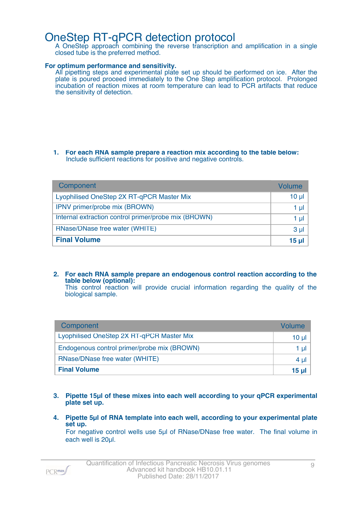### OneStep RT-qPCR detection protocol

A OneStep approach combining the reverse transcription and amplification in a single closed tube is the preferred method.

#### **For optimum performance and sensitivity.**

All pipetting steps and experimental plate set up should be performed on ice. After the plate is poured proceed immediately to the One Step amplification protocol. Prolonged incubation of reaction mixes at room temperature can lead to PCR artifacts that reduce the sensitivity of detection.

#### **1. For each RNA sample prepare a reaction mix according to the table below:** Include sufficient reactions for positive and negative controls.

| Component                                            | Volume   |
|------------------------------------------------------|----------|
| Lyophilised OneStep 2X RT-qPCR Master Mix            | 10 $\mu$ |
| IPNV primer/probe mix (BROWN)                        | 1 µI     |
| Internal extraction control primer/probe mix (BROWN) | 1 µI     |
| RNase/DNase free water (WHITE)                       | $3 \mu$  |
| <b>Final Volume</b>                                  | 15 µl    |

**2. For each RNA sample prepare an endogenous control reaction according to the table below (optional):** This control reaction will provide crucial information regarding the quality of the

biological sample.

| Component                                   | Volume   |
|---------------------------------------------|----------|
| Lyophilised OneStep 2X RT-qPCR Master Mix   | $10 \mu$ |
| Endogenous control primer/probe mix (BROWN) | 1 µl     |
| RNase/DNase free water (WHITE)              | $4 \mu$  |
| <b>Final Volume</b>                         | 15 ul    |

- **3. Pipette 15µl of these mixes into each well according to your qPCR experimental plate set up.**
- **4. Pipette 5µl of RNA template into each well, according to your experimental plate set up.**

For negative control wells use 5µl of RNase/DNase free water. The final volume in each well is 20µl.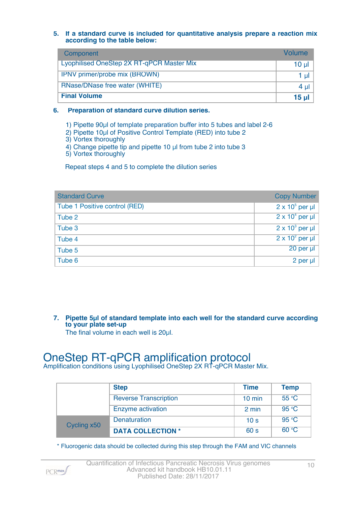#### **5. If a standard curve is included for quantitative analysis prepare a reaction mix according to the table below:**

| Component                                        | Volume        |
|--------------------------------------------------|---------------|
| <b>Lyophilised OneStep 2X RT-qPCR Master Mix</b> | $10 \mu$      |
| <b>IPNV</b> primer/probe mix (BROWN)             | $1$ µ $\vert$ |
| RNase/DNase free water (WHITE)                   | $4 \mu$       |
| <b>Final Volume</b>                              | $15$ µl       |

#### **6. Preparation of standard curve dilution series.**

1) Pipette 90µl of template preparation buffer into 5 tubes and label 2-6

- 2) Pipette 10µl of Positive Control Template (RED) into tube 2
- 3) Vortex thoroughly
- 4) Change pipette tip and pipette 10 µl from tube 2 into tube 3

5) Vortex thoroughly

Repeat steps 4 and 5 to complete the dilution series

| <b>Standard Curve</b>         | <b>Copy Number</b>     |
|-------------------------------|------------------------|
| Tube 1 Positive control (RED) | $2 \times 10^5$ per µl |
| Tube 2                        | $2 \times 10^4$ per µl |
| Tube 3                        | $2 \times 10^3$ per µl |
| Tube 4                        | $2 \times 10^2$ per µl |
| Tube 5                        | $20$ per $\mu$         |
| Tube 6                        | 2 per $\mu$            |

**7. Pipette 5µl of standard template into each well for the standard curve according to your plate set-up** The final volume in each well is 20µl.

## OneStep RT-qPCR amplification protocol

Amplification conditions using Lyophilised OneStep 2X RT-qPCR Master Mix.

|             | <b>Step</b>                  | <b>Time</b>      | <b>Temp</b>    |
|-------------|------------------------------|------------------|----------------|
|             | <b>Reverse Transcription</b> | $10 \text{ min}$ | $55^{\circ}$ C |
|             | Enzyme activation            | 2 min            | 95 °C          |
| Cycling x50 | <b>Denaturation</b>          | 10 <sub>s</sub>  | 95 °C          |
|             | <b>DATA COLLECTION *</b>     | 60 s             | 60 °C          |

\* Fluorogenic data should be collected during this step through the FAM and VIC channels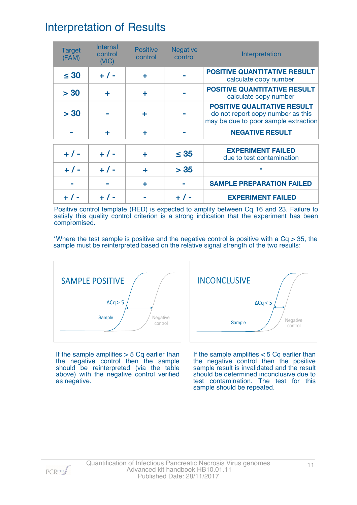## Interpretation of Results

| <b>Target</b><br>(FAM) | Internal<br>control<br>(NIC) | <b>Positive</b><br>control | <b>Negative</b><br>control | Interpretation                                                                                                  |
|------------------------|------------------------------|----------------------------|----------------------------|-----------------------------------------------------------------------------------------------------------------|
| $\leq 30$              | $+ 1 -$                      | ÷                          |                            | <b>POSITIVE QUANTITATIVE RESULT</b><br>calculate copy number                                                    |
| > 30                   | ÷                            | ÷                          |                            | <b>POSITIVE QUANTITATIVE RESULT</b><br>calculate copy number                                                    |
| > 30                   |                              | ÷                          |                            | <b>POSITIVE QUALITATIVE RESULT</b><br>do not report copy number as this<br>may be due to poor sample extraction |
|                        | ÷                            | ÷                          |                            | <b>NEGATIVE RESULT</b>                                                                                          |
| $+ 1 -$                | $+ 1 -$                      |                            | $\leq 35$                  | <b>EXPERIMENT FAILED</b><br>due to test contamination                                                           |
| $+ 1 -$                | $+ 1 -$                      | ÷                          | > 35                       | $\star$                                                                                                         |
|                        |                              | ÷                          |                            | <b>SAMPLE PREPARATION FAILED</b>                                                                                |
|                        |                              |                            |                            | <b>EXPERIMENT FAILED</b>                                                                                        |

Positive control template (RED) is expected to amplify between Cq 16 and 23. Failure to satisfy this quality control criterion is a strong indication that the experiment has been compromised.

\*Where the test sample is positive and the negative control is positive with a  $Cq > 35$ , the sample must be reinterpreted based on the relative signal strength of the two results:



If the sample amplifies  $>$  5 Cq earlier than the negative control then the sample should be reinterpreted (via the table above) with the negative control verified as negative.



If the sample amplifies < 5 Cq earlier than the negative control then the positive sample result is invalidated and the result should be determined inconclusive due to test contamination. The test for this sample should be repeated.